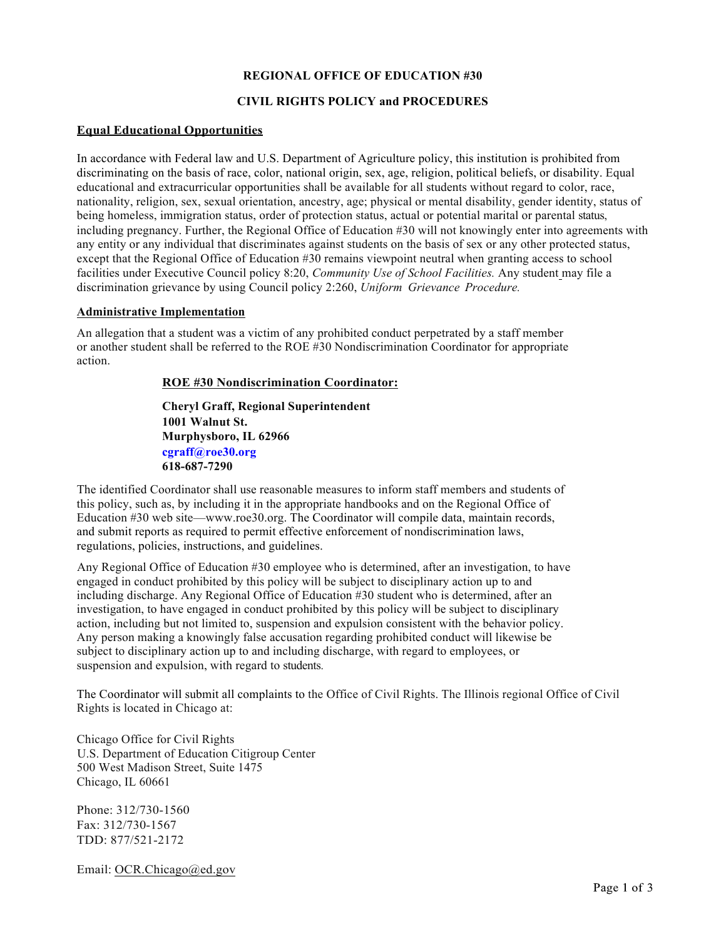### **REGIONAL OFFICE OF EDUCATION #30**

# **CIVIL RIGHTS POLICY and PROCEDURES**

### **Equal Educational Opportunities**

In accordance with Federal law and U.S. Department of Agriculture policy, this institution is prohibited from discriminating on the basis of race, color, national origin, sex, age, religion, political beliefs, or disability. Equal educational and extracurricular opportunities shall be available for all students without regard to color, race, nationality, religion, sex, sexual orientation, ancestry, age; physical or mental disability, gender identity, status of being homeless, immigration status, order of protection status, actual or potential marital or parental status, including pregnancy. Further, the Regional Office of Education #30 will not knowingly enter into agreements with any entity or any individual that discriminates against students on the basis of sex or any other protected status, except that the Regional Office of Education #30 remains viewpoint neutral when granting access to school facilities under Executive Council policy 8:20, *Community Use of School Facilities.* Any student may file a discrimination grievance by using Council policy 2:260, *Uniform Grievance Procedure.*

#### **Administrative Implementation**

An allegation that a student was a victim of any prohibited conduct perpetrated by a staff member or another student shall be referred to the ROE #30 Nondiscrimination Coordinator for appropriate action.

### **ROE #30 Nondiscrimination Coordinator:**

**Cheryl Graff, Regional Superintendent 1001 Walnut St. Murphysboro, IL 62966 cgraff@roe30.org 618-687-7290**

The identified Coordinator shall use reasonable measures to inform staff members and students of this policy, such as, by including it in the appropriate handbooks and on the Regional Office of Education #30 web site—www.roe30.org. The Coordinator will compile data, maintain records, and submit reports as required to permit effective enforcement of nondiscrimination laws, regulations, policies, instructions, and guidelines.

Any Regional Office of Education #30 employee who is determined, after an investigation, to have engaged in conduct prohibited by this policy will be subject to disciplinary action up to and including discharge. Any Regional Office of Education #30 student who is determined, after an investigation, to have engaged in conduct prohibited by this policy will be subject to disciplinary action, including but not limited to, suspension and expulsion consistent with the behavior policy. Any person making a knowingly false accusation regarding prohibited conduct will likewise be subject to disciplinary action up to and including discharge, with regard to employees, or suspension and expulsion, with regard to students.

The Coordinator will submit all complaints to the Office of Civil Rights. The Illinois regional Office of Civil Rights is located in Chicago at:

Chicago Office for Civil Rights U.S. Department of Education Citigroup Center 500 West Madison Street, Suite 1475 Chicago, IL 60661

Phone: 312/730-1560 Fax: 312/730-1567 TDD: 877/521-2172

Email: OCR.Chicago@ed.gov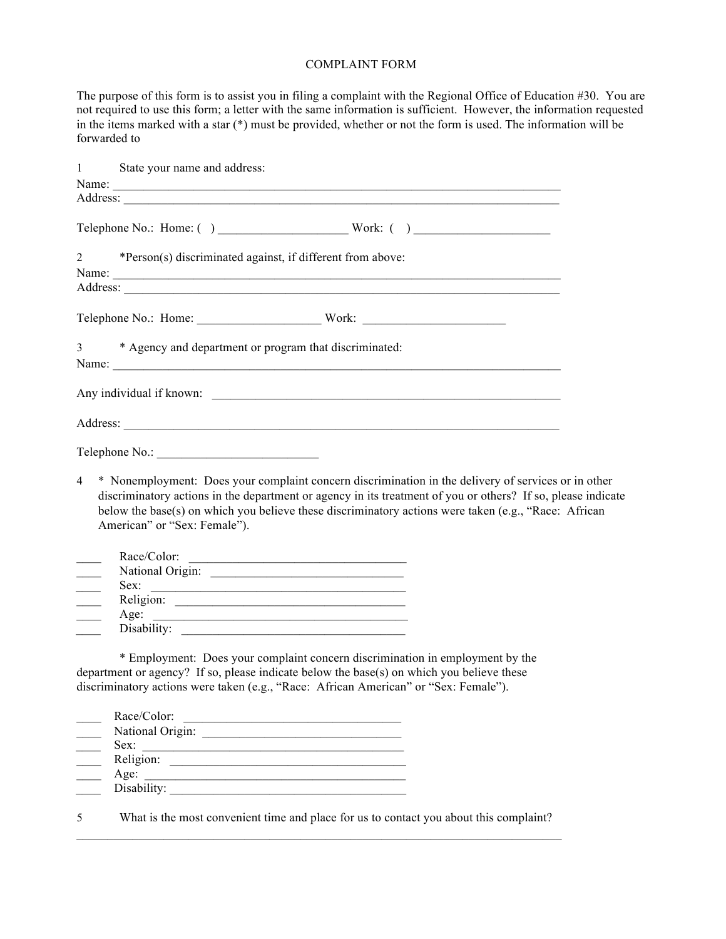## COMPLAINT FORM

The purpose of this form is to assist you in filing a complaint with the Regional Office of Education #30. You are not required to use this form; a letter with the same information is sufficient. However, the information requested in the items marked with a star (\*) must be provided, whether or not the form is used. The information will be forwarded to

| $\mathbf{1}$                                                          | State your name and address:<br>Name: Name and the second contract of the second contract of the second contract of the second contract of the second contract of the second contract of the second contract of the second contract of the second contract of                                                                                               |  |
|-----------------------------------------------------------------------|-------------------------------------------------------------------------------------------------------------------------------------------------------------------------------------------------------------------------------------------------------------------------------------------------------------------------------------------------------------|--|
|                                                                       |                                                                                                                                                                                                                                                                                                                                                             |  |
| $\overline{2}$                                                        | *Person(s) discriminated against, if different from above:                                                                                                                                                                                                                                                                                                  |  |
|                                                                       |                                                                                                                                                                                                                                                                                                                                                             |  |
| 3                                                                     | * Agency and department or program that discriminated:                                                                                                                                                                                                                                                                                                      |  |
|                                                                       |                                                                                                                                                                                                                                                                                                                                                             |  |
|                                                                       |                                                                                                                                                                                                                                                                                                                                                             |  |
|                                                                       |                                                                                                                                                                                                                                                                                                                                                             |  |
| $\overline{4}$                                                        | * Nonemployment: Does your complaint concern discrimination in the delivery of services or in other<br>discriminatory actions in the department or agency in its treatment of you or others? If so, please indicate<br>below the base(s) on which you believe these discriminatory actions were taken (e.g., "Race: African<br>American" or "Sex: Female"). |  |
| $\overline{\phantom{a}}$<br>$\overline{\phantom{a}}$<br>$\frac{1}{1}$ | Race/Color:<br>National Origin:<br>Sex:<br><u> 1989 - Johann Barbara, martin amerikan basal dan berasal dan berasal dalam basal dalam basal dalam basal dala</u>                                                                                                                                                                                            |  |
|                                                                       | * Employment: Does your complaint concern discrimination in employment by the<br>department or agency? If so, please indicate below the base(s) on which you believe these<br>discriminatory actions were taken (e.g., "Race: African American" or "Sex: Female").                                                                                          |  |
|                                                                       | Race/Color:<br>National Origin:<br>Sex:<br>Religion:<br>Age:                                                                                                                                                                                                                                                                                                |  |

5 What is the most convenient time and place for us to contact you about this complaint?

\_\_\_\_ Disability: \_\_\_\_\_\_\_\_\_\_\_\_\_\_\_\_\_\_\_\_\_\_\_\_\_\_\_\_\_\_\_\_\_\_\_\_\_\_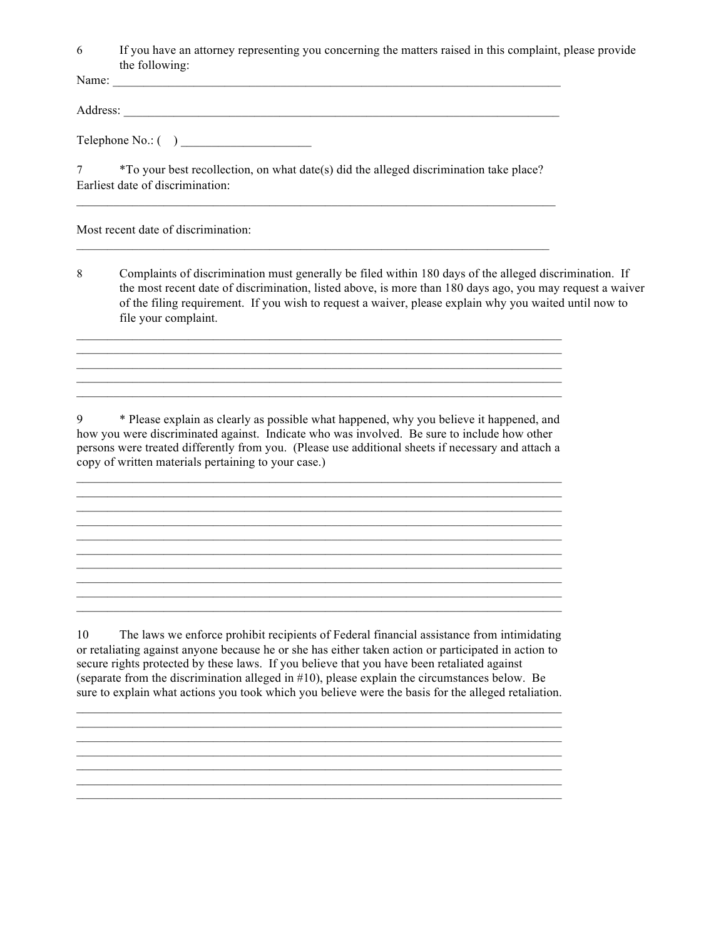6 If you have an attorney representing you concerning the matters raised in this complaint, please provide the following:

Name: \_\_\_\_\_\_\_\_\_\_\_\_\_\_\_\_\_\_\_\_\_\_\_\_\_\_\_\_\_\_\_\_\_\_\_\_\_\_\_\_\_\_\_\_\_\_\_\_\_\_\_\_\_\_\_\_\_\_\_\_\_\_\_\_\_\_\_\_\_\_\_\_

Address: \_\_\_\_\_\_\_\_\_\_\_\_\_\_\_\_\_\_\_\_\_\_\_\_\_\_\_\_\_\_\_\_\_\_\_\_\_\_\_\_\_\_\_\_\_\_\_\_\_\_\_\_\_\_\_\_\_\_\_\_\_\_\_\_\_\_\_\_\_\_

Telephone  $No: ( )$ 

7 \*To your best recollection, on what date(s) did the alleged discrimination take place? Earliest date of discrimination:

 $\mathcal{L}_\mathcal{L} = \{ \mathcal{L}_\mathcal{L} = \{ \mathcal{L}_\mathcal{L} = \{ \mathcal{L}_\mathcal{L} = \{ \mathcal{L}_\mathcal{L} = \{ \mathcal{L}_\mathcal{L} = \{ \mathcal{L}_\mathcal{L} = \{ \mathcal{L}_\mathcal{L} = \{ \mathcal{L}_\mathcal{L} = \{ \mathcal{L}_\mathcal{L} = \{ \mathcal{L}_\mathcal{L} = \{ \mathcal{L}_\mathcal{L} = \{ \mathcal{L}_\mathcal{L} = \{ \mathcal{L}_\mathcal{L} = \{ \mathcal{L}_\mathcal{$ 

Most recent date of discrimination:

8 Complaints of discrimination must generally be filed within 180 days of the alleged discrimination. If the most recent date of discrimination, listed above, is more than 180 days ago, you may request a waiver of the filing requirement. If you wish to request a waiver, please explain why you waited until now to file your complaint.

9 \* Please explain as clearly as possible what happened, why you believe it happened, and how you were discriminated against. Indicate who was involved. Be sure to include how other persons were treated differently from you. (Please use additional sheets if necessary and attach a copy of written materials pertaining to your case.)

\_\_\_\_\_\_\_\_\_\_\_\_\_\_\_\_\_\_\_\_\_\_\_\_\_\_\_\_\_\_\_\_\_\_\_\_\_\_\_\_\_\_\_\_\_\_\_\_\_\_\_\_\_\_\_\_\_\_\_\_\_\_\_\_\_\_\_\_\_\_\_\_\_\_\_\_\_\_  $\mathcal{L}_\mathcal{L} = \{ \mathcal{L}_\mathcal{L} = \{ \mathcal{L}_\mathcal{L} = \{ \mathcal{L}_\mathcal{L} = \{ \mathcal{L}_\mathcal{L} = \{ \mathcal{L}_\mathcal{L} = \{ \mathcal{L}_\mathcal{L} = \{ \mathcal{L}_\mathcal{L} = \{ \mathcal{L}_\mathcal{L} = \{ \mathcal{L}_\mathcal{L} = \{ \mathcal{L}_\mathcal{L} = \{ \mathcal{L}_\mathcal{L} = \{ \mathcal{L}_\mathcal{L} = \{ \mathcal{L}_\mathcal{L} = \{ \mathcal{L}_\mathcal{$  $\mathcal{L}_\mathcal{L} = \{ \mathcal{L}_\mathcal{L} = \{ \mathcal{L}_\mathcal{L} = \{ \mathcal{L}_\mathcal{L} = \{ \mathcal{L}_\mathcal{L} = \{ \mathcal{L}_\mathcal{L} = \{ \mathcal{L}_\mathcal{L} = \{ \mathcal{L}_\mathcal{L} = \{ \mathcal{L}_\mathcal{L} = \{ \mathcal{L}_\mathcal{L} = \{ \mathcal{L}_\mathcal{L} = \{ \mathcal{L}_\mathcal{L} = \{ \mathcal{L}_\mathcal{L} = \{ \mathcal{L}_\mathcal{L} = \{ \mathcal{L}_\mathcal{$ 

10 The laws we enforce prohibit recipients of Federal financial assistance from intimidating or retaliating against anyone because he or she has either taken action or participated in action to secure rights protected by these laws. If you believe that you have been retaliated against (separate from the discrimination alleged in #10), please explain the circumstances below. Be sure to explain what actions you took which you believe were the basis for the alleged retaliation.

 $\mathcal{L}_\mathcal{L} = \{ \mathcal{L}_\mathcal{L} = \{ \mathcal{L}_\mathcal{L} = \{ \mathcal{L}_\mathcal{L} = \{ \mathcal{L}_\mathcal{L} = \{ \mathcal{L}_\mathcal{L} = \{ \mathcal{L}_\mathcal{L} = \{ \mathcal{L}_\mathcal{L} = \{ \mathcal{L}_\mathcal{L} = \{ \mathcal{L}_\mathcal{L} = \{ \mathcal{L}_\mathcal{L} = \{ \mathcal{L}_\mathcal{L} = \{ \mathcal{L}_\mathcal{L} = \{ \mathcal{L}_\mathcal{L} = \{ \mathcal{L}_\mathcal{$ 

 $\mathcal{L}_\mathcal{L} = \mathcal{L}_\mathcal{L} = \mathcal{L}_\mathcal{L} = \mathcal{L}_\mathcal{L} = \mathcal{L}_\mathcal{L} = \mathcal{L}_\mathcal{L} = \mathcal{L}_\mathcal{L} = \mathcal{L}_\mathcal{L} = \mathcal{L}_\mathcal{L} = \mathcal{L}_\mathcal{L} = \mathcal{L}_\mathcal{L} = \mathcal{L}_\mathcal{L} = \mathcal{L}_\mathcal{L} = \mathcal{L}_\mathcal{L} = \mathcal{L}_\mathcal{L} = \mathcal{L}_\mathcal{L} = \mathcal{L}_\mathcal{L}$ \_\_\_\_\_\_\_\_\_\_\_\_\_\_\_\_\_\_\_\_\_\_\_\_\_\_\_\_\_\_\_\_\_\_\_\_\_\_\_\_\_\_\_\_\_\_\_\_\_\_\_\_\_\_\_\_\_\_\_\_\_\_\_\_\_\_\_\_\_\_\_\_\_\_\_\_\_\_  $\mathcal{L}_\mathcal{L} = \{ \mathcal{L}_\mathcal{L} = \{ \mathcal{L}_\mathcal{L} = \{ \mathcal{L}_\mathcal{L} = \{ \mathcal{L}_\mathcal{L} = \{ \mathcal{L}_\mathcal{L} = \{ \mathcal{L}_\mathcal{L} = \{ \mathcal{L}_\mathcal{L} = \{ \mathcal{L}_\mathcal{L} = \{ \mathcal{L}_\mathcal{L} = \{ \mathcal{L}_\mathcal{L} = \{ \mathcal{L}_\mathcal{L} = \{ \mathcal{L}_\mathcal{L} = \{ \mathcal{L}_\mathcal{L} = \{ \mathcal{L}_\mathcal{$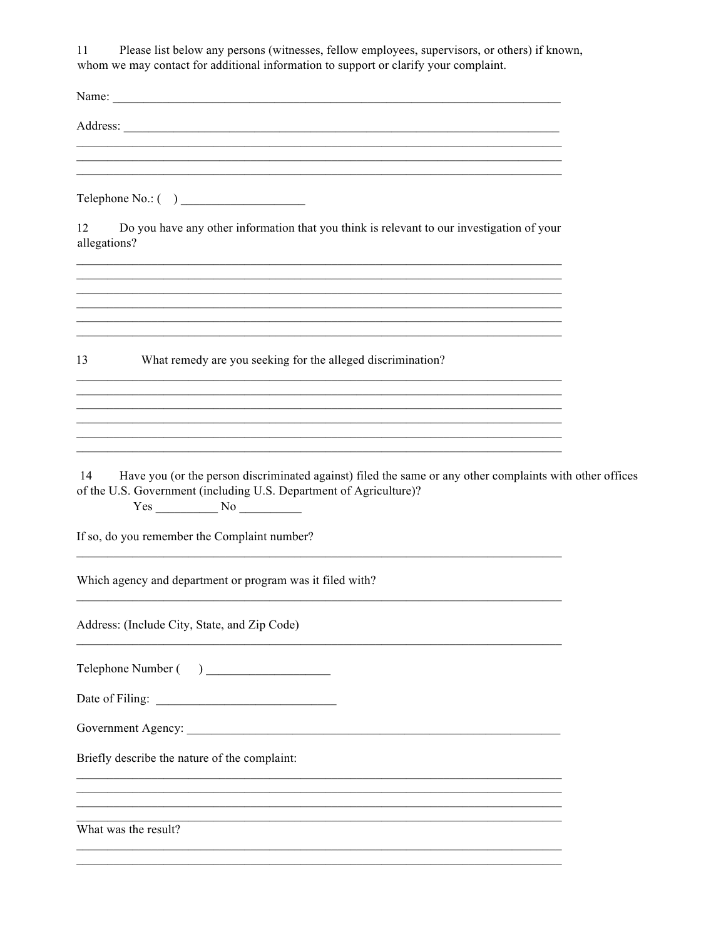$11$ Please list below any persons (witnesses, fellow employees, supervisors, or others) if known, whom we may contact for additional information to support or clarify your complaint.

| Name:                                                                                                                                                                                                                          |  |
|--------------------------------------------------------------------------------------------------------------------------------------------------------------------------------------------------------------------------------|--|
| Address: No. 1996. The Committee of the Committee of the Committee of the Committee of the Committee of the Committee of the Committee of the Committee of the Committee of the Committee of the Committee of the Committee of |  |
|                                                                                                                                                                                                                                |  |
| ,我们也不能在这里的时候,我们也不能在这里的时候,我们也不能会不能会不能会不能会不能会不能会不能会。<br>第2012章 我们的时候,我们的时候,我们的时候,我们的时候,我们的时候,我们的时候,我们的时候,我们的时候,我们的时候,我们的时候,我们的时候,我们的时候,我                                                                                         |  |
| Do you have any other information that you think is relevant to our investigation of your<br>12<br>allegations?                                                                                                                |  |
|                                                                                                                                                                                                                                |  |
| ,我们也不能在这里的时候,我们也不能在这里的时候,我们也不能会在这里的时候,我们也不能会在这里的时候,我们也不能会在这里的时候,我们也不能会在这里的时候,我们也                                                                                                                                               |  |
| 13<br>What remedy are you seeking for the alleged discrimination?                                                                                                                                                              |  |
| <u> 1989 - Johann Stoff, amerikansk politiker (* 1908)</u>                                                                                                                                                                     |  |
|                                                                                                                                                                                                                                |  |
|                                                                                                                                                                                                                                |  |
| Have you (or the person discriminated against) filed the same or any other complaints with other offices<br>14<br>of the U.S. Government (including U.S. Department of Agriculture)?<br>$Yes$ No $\_\_\_\_\_\_\$               |  |
| If so, do you remember the Complaint number?                                                                                                                                                                                   |  |
| Which agency and department or program was it filed with?                                                                                                                                                                      |  |
| Address: (Include City, State, and Zip Code)                                                                                                                                                                                   |  |
| Telephone Number ( )                                                                                                                                                                                                           |  |
|                                                                                                                                                                                                                                |  |
|                                                                                                                                                                                                                                |  |
| Briefly describe the nature of the complaint:                                                                                                                                                                                  |  |
|                                                                                                                                                                                                                                |  |
| What was the result?                                                                                                                                                                                                           |  |
|                                                                                                                                                                                                                                |  |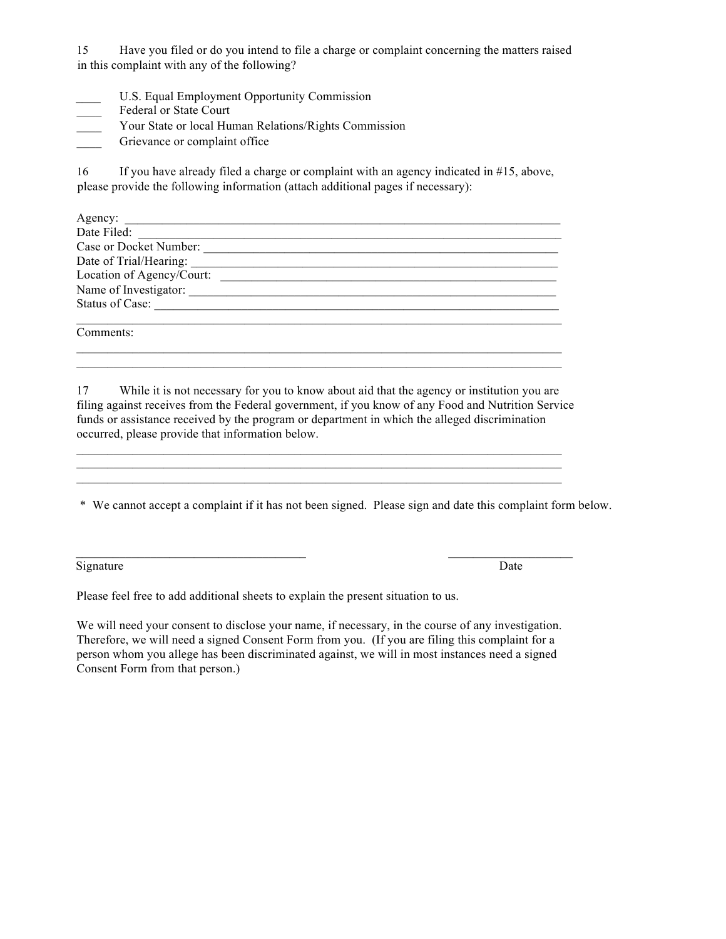15 Have you filed or do you intend to file a charge or complaint concerning the matters raised in this complaint with any of the following?

- U.S. Equal Employment Opportunity Commission
- Federal or State Court
- Your State or local Human Relations/Rights Commission
- Grievance or complaint office

16 If you have already filed a charge or complaint with an agency indicated in #15, above, please provide the following information (attach additional pages if necessary):

| Agency:                   |
|---------------------------|
| Date Filed:               |
| Case or Docket Number:    |
| Date of Trial/Hearing:    |
| Location of Agency/Court: |
| Name of Investigator:     |
| Status of Case:           |
|                           |
| Comments:                 |

17 While it is not necessary for you to know about aid that the agency or institution you are filing against receives from the Federal government, if you know of any Food and Nutrition Service funds or assistance received by the program or department in which the alleged discrimination occurred, please provide that information below.

 $\mathcal{L}_\mathcal{L} = \{ \mathcal{L}_\mathcal{L} = \{ \mathcal{L}_\mathcal{L} = \{ \mathcal{L}_\mathcal{L} = \{ \mathcal{L}_\mathcal{L} = \{ \mathcal{L}_\mathcal{L} = \{ \mathcal{L}_\mathcal{L} = \{ \mathcal{L}_\mathcal{L} = \{ \mathcal{L}_\mathcal{L} = \{ \mathcal{L}_\mathcal{L} = \{ \mathcal{L}_\mathcal{L} = \{ \mathcal{L}_\mathcal{L} = \{ \mathcal{L}_\mathcal{L} = \{ \mathcal{L}_\mathcal{L} = \{ \mathcal{L}_\mathcal{$ 

\* We cannot accept a complaint if it has not been signed. Please sign and date this complaint form below.

Signature Date by Date Date of the United States of the United States of the United States of the United States of the United States of the United States of the United States of the United States of the United States of th

Please feel free to add additional sheets to explain the present situation to us.

We will need your consent to disclose your name, if necessary, in the course of any investigation. Therefore, we will need a signed Consent Form from you. (If you are filing this complaint for a person whom you allege has been discriminated against, we will in most instances need a signed Consent Form from that person.)

\_\_\_\_\_\_\_\_\_\_\_\_\_\_\_\_\_\_\_\_\_\_\_\_\_\_\_\_\_\_\_\_\_\_\_\_\_ \_\_\_\_\_\_\_\_\_\_\_\_\_\_\_\_\_\_\_\_